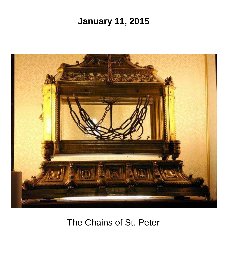# **January 11, 2015**



# The Chains of St. Peter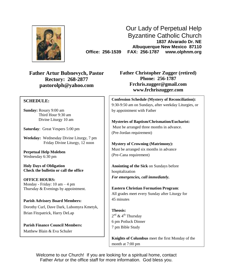

Our Lady of Perpetual Help Byzantine Catholic Church **1837 Alvarado Dr. NE Albuquerque New Mexico 87110 Office: 256-1539 FAX: 256-1787 www.olphnm.org**

**Father Artur Bubnevych, Pastor Rectory: 268-2877 [pastorolph@yahoo.com](mailto:pastorolph@yahoo.com)**

### **SCHEDULE:**

**Sunday:** Rosary 9:00 am Third Hour 9:30 am Divine Liturgy 10 am

**Saturday**: Great Vespers 5:00 pm

**Weekday:** Wednesday Divine Liturgy, 7 pm Friday Divine Liturgy, 12 noon

**Perpetual Help Moleben** Wednesday 6:30 pm

**Holy Days of Obligation Check the bulletin or call the office**

**OFFICE HOURS:** Monday - Friday: 10 am – 4 pm Thursday & Evenings by appointment.

**Parish Advisory Board Members:** Dorothy Curl, Dave Dark, Lubomyra Kmetyk, Brian Fitzpatrick, Harry DeLap

**Parish Finance Council Members:** Matthew Blain & Eva Schuler

**Father Christopher Zugger (retired) Phone: 256-1787 [Frchris.zugger@gmail.com](mailto:Frchris.zugger@gmail.com) www.frchriszugger.com**

**Confession Schedule (Mystery of Reconciliation):** 9:30-9:50 am on Sundays, after weekday Liturgies, or by appointment with Father

**Mysteries of Baptism/Chrismation/Eucharist:** Must be arranged three months in advance. (Pre-Jordan requirement)

**Mystery of Crowning (Matrimony):** Must be arranged six months in advance (Pre-Cana requirement)

**Anointing of the Sick** on Sundays before hospitalization *For emergencies, call immediately.*

**Eastern Christian Formation Program**: All grades meet every Sunday after Liturgy for 45 minutes

**Theosis:** 2<sup>nd</sup> & 4<sup>th</sup> Thursday 6 pm Potluck Dinner 7 pm Bible Study

**Knights of Columbus** meet the first Monday of the month at 7:00 pm

Welcome to our Church! If you are looking for a spiritual home, contact Father Artur or the office staff for more information. God bless you.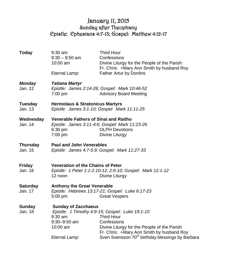## January 11, 2015 Sunday after Theophany Epistle: Ephesians 4:7-13; Gospel: Matthew 4:12-17

| <b>Today</b>               | 9:30 am<br>$9:30 - 9:50$ am<br>$10:00$ am<br>Eternal Lamp:                                                                          | Third Hour<br>Confessions<br>Divine Liturgy for the People of the Parish<br>Fr. Chris: +Mary Ann Smith by husband Roy<br>Father Artur by Donlins                                                                                                |
|----------------------------|-------------------------------------------------------------------------------------------------------------------------------------|-------------------------------------------------------------------------------------------------------------------------------------------------------------------------------------------------------------------------------------------------|
|                            |                                                                                                                                     |                                                                                                                                                                                                                                                 |
| <b>Monday</b><br>Jan. 12   | <b>Tatiana Martyr</b><br>$7:00 \text{ pm}$                                                                                          | Epistle: James 2:14-26; Gospel: Mark 10:46-52<br><b>Advisory Board Meeting</b>                                                                                                                                                                  |
| <b>Tuesday</b><br>Jan. 13  | <b>Hermolaus &amp; Stratonicus Martyrs</b><br>Epistle: James 3:1-10; Gospel: Mark 11:11-25                                          |                                                                                                                                                                                                                                                 |
| Wednesday<br>Jan. 14       | Venerable Fathers of Sinai and Raitho<br>6:30 pm<br>7:00 pm                                                                         | Epistle: James 3:11-4:6; Gospel: Mark 11:23-26<br><b>OLPH Devotions</b><br>Divine Liturgy                                                                                                                                                       |
| Thursday<br>Jan. 15        | <b>Paul and John Venerables</b><br>Epistle: James 4:7-5:9; Gospel: Mark 11:27-33                                                    |                                                                                                                                                                                                                                                 |
| <b>Friday</b><br>Jan. 16   | <b>Veneration of the Chains of Peter</b><br>Epistle: 1 Peter 1:1-2.10-12; 2:6-10; Gospel: Mark 12:1-12<br>12 noon<br>Divine Liturgy |                                                                                                                                                                                                                                                 |
| <b>Saturday</b><br>Jan. 17 | <b>Anthony the Great Venerable</b><br>Epistle: Hebrews 13:17-21; Gospel: Luke 6:17-23<br>5:00 pm<br><b>Great Vespers</b>            |                                                                                                                                                                                                                                                 |
| <b>Sunday</b><br>Jan. 18   | <b>Sunday of Zacchaeus</b><br>$9:30$ am<br>$9:30 - 9:50$ am<br>$10:00$ am<br>Eternal Lamp:                                          | Epistle: 1 Timothy 4:9-15; Gospel: Luke 19:1-10<br><b>Third Hour</b><br>Confessions<br>Divine Liturgy for the People of the Parish<br>Fr. Chris: +Mary Ann Smith by husband Roy<br>Sven Svensson 70 <sup>th</sup> birthday blessings by Barbara |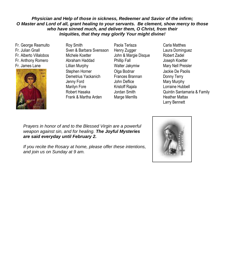### *Physician and Help of those in sickness, Redeemer and Savior of the infirm; O Master and Lord of all, grant healing to your servants. Be clement, show mercy to those who have sinned much, and deliver them, O Christ, from their Iniquities, that they may glorify Your might divine!*

Fr. George Reamulto Fr. Julian Gnall Fr. Alberto Villalobos Fr. Anthony Romero Fr. James Lane



Roy Smith Sven & Barbara Svensson Michele Koetter Abraham Haddad Lillian Murphy Stephen Horner Demetrius Yackanich Jenny Ford Marilyn Fore Robert Hasaka Frank & Martha Arden

Paola Terlaza Henry Zugger John & Margie Disque Phillip Fall Walter Jakymiw Olga Bodnar Frances Brannan John Deflice Kristoff Rajala Jordan Smith Marge Merrills

Carla Matthes Laura Dominguez Robert Zadel Joseph Koetter Mary Nell Preisler Jackie De Paolis Donny Terry Mary Murphy Lorraine Hubbell Quintin Santamaria & Family Heather Mattax Larry Bennett

Katrina Andersonna to the Blessea v weapon against sin, and for healing. **The Joyful Mysteries** *are said everyday until February 2.* Jackie De Paolis Prayers in honor of and to the Blessed Virgin are a powerful

Marilyn Fore-Family If you recite the Rosary at home, please offer these intentions, and join us on Sunday at 9 am.

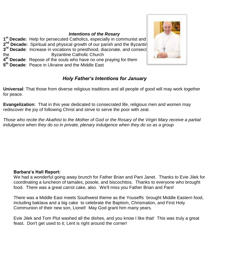## *Intentions of the Rosary*

**1<sup>st</sup> Decade:** Help for persecuted Catholics, especially in communist and **2<sup>nd</sup> Decade:** Spiritual and physical growth of our parish and the Byzantin **3<sup>rd</sup> Decade**: Increase in vocations to priesthood, diaconate, and consecrations of the serve the Byzantine Catholic Church **4 th Decade**: Repose of the souls who have no one praying for them **5 th Decade**: Peace in Ukraine and the Middle East



## *Holy Father's Intentions for January*

**Universal**: That those from diverse religious traditions and all people of good will may work together for peace.

**Evangelization**: That in this year dedicated to consecrated life, religious men and women may rediscover the joy of following Christ and strive to serve the poor with zeal.

*Those who recite the Akathist to the Mother of God or the Rosary of the Virgin Mary receive a partial indulgence when they do so in private, plenary indulgence when they do so as a group*

## **Barbara's Hall Report:**

We had a wonderful going away brunch for Father Brian and Pani Janet. Thanks to Evie Jilek for coordinating a luncheon of tamales, posole, and biscochitos. Thanks to everyone who brought food. There was a great carrot cake, also. We'll miss you Father Brian and Pani!

There was a Middle East meets Southwest theme as the Youseffs brought Middle Eastern food, including baklava and a big cake to celebrate the Baptism, Chrismation, and First Holy Communion of their new son, Lionel! May God grant him many years.

Evie Jilek and Tom Plut washed all the dishes, and you know I like that! This was truly a great feast. Don't get used to it; Lent is right around the corner!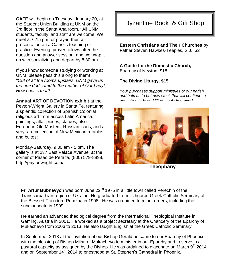**CAFE** will begin on Tuesday, January 20, at the Student Union Building at UNM on the 3rd floor in the Santa Ana room.\* All UNM students, faculty, and staff are welcome. We meet at 6:15 pm for prayer, then a presentation on a Catholic teaching or practice. Evening prayer follows after the question and answer session, and we wrap it up with socializing and depart by 8:30 pm.

If you know someone studying or working at UNM, please pass this along to them! *\*Out of all the rooms upstairs, UNM gave us the one dedicated to the mother of Our Lady! How cool is that?*

**Annual ART OF DEVOTION exhibit** at the

Peyton-Wright Gallery in Santa Fe, featuring a splendid collection of Spanish Colonial religious art from across Latin America: paintings, altar pieces, statues; also European Old Masters, Russian icons, and a very rare collection of New Mexican retablos and bultos:

Monday-Saturday, 9:30 am - 5 pm. The gallery is at 237 East Palace Avenue, at the corner of Paseo de Peralta, (800) 879-8898, http://peytonwright.com/.

## Byzantine Book & Gift Shop

**Eastern Christians and Their Churches** by Father Steven Hawkes-Teeples, S.J., \$2

#### **A Guide for the Domestic Church,**  Eparchy of Newton, \$18

**The Divine Liturgy**, \$15

*Your purchases support ministries of our parish, and help us to but new stock that will continue to educate minds and lift up souls in prayer!*



**Theophany**

**Fr. Artur Bubnevych** was born June 22<sup>nd</sup> 1975 in a little town called Perechin of the Transcarpathian region of Ukraine. He graduated from Uzhgorod Greek Catholic Seminary of the Blessed Theodore Romzha in 1998. He was ordained to minor orders, including the subdiaconate in 1999.

He earned an advanced theological degree from the International Theological Institute in Gaming, Austria in 2001. He worked as a project secretary at the Chancery of the Eparchy of Mukachevo from 2006 to 2013. He also taught English at the Greek Catholic Seminary.

In September 2013 at the invitation of our Bishop Gerald he came to our Eparchy of Phoenix with the blessing of Bishop Milan of Mukachevo to minister in our Eparchy and to serve in a pastoral capacity as assigned by the Bishop. He was ordained to diaconate on March  $9^{\text{th}}$  2014 and on September 14<sup>th</sup> 2014 to priesthood at St. Stephen's Cathedral in Phoenix.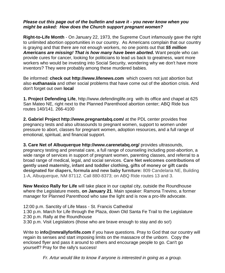### *Please cut this page out of the bulletin and save it - you never know when you might be asked: How does the Church support pregnant women?*

**Right-to-Life Month** - On January 22, 1973, the Supreme Court infamously gave the right to unlimited abortion opportunities in our country. As Americans complain that our country is graying and that there are not enough workers, no one points out that *55 million Americans are missing! That is how many have been aborted.* Want people who can provide cures for cancer, looking for politicians to lead us back to greatness, want more workers who would be investing into Social Security, wondering why we don't have more inventors? They were probably among these murdered babies.

Be informed: **check out http://www.lifenews.com** which covers not just abortion but also **euthanasia** and other social problems that have come out of the abortion crisis. And don't forget out own **local** 

**1. Project Defending Life**, http://www.defendinglife.org with its office and chapel at 625 San Mateo NE, right next to the Planned Parenthood abortion center; ABQ Ride bus routes 140/141. 266-4100

**2. Gabriel Project http://www.pregnantabq.com/** at the PDL center provides free pregnancy tests and also ultrasounds to pregnant women, support to women under pressure to abort, classes for pregnant women, adoption resources, and a full range of emotional, spiritual, and financial support.

**3. Care Net of Albuquerque http://www.carenetabq.org/** provides ultrasounds, pregnancy testing and prenatal care, a full range of counseling including post-abortion, a wide range of services in support of pregnant women, parenting classes, and referral to a broad range of medical, legal, and social services. **Care Net welcomes contributions of gently used maternity, infant and toddler clothing, gifts of money or gift cards designated for diapers, formula and new baby furniture:** 809 Candelaria NE, Building 1-A, Albuquerque, NM 87112. Call 880-8373; on ABQ Ride routes 13 and 3.

**New Mexico Rally for Life** will take place in our capital city, outside the Roundhouse where the Legislature meets, **on January 21**. Main speaker: Ramona Trevino, a former manager for Planned Parenthood who saw the light and is now a pro-life advocate.

12:00 p.m. Sanctity of Life Mass - St. Francis Cathedral 1:30 p.m. March for Life through the Plaza, down Old Santa Fe Trail to the Legislature 2:30 p.m. Rally at the Roundhouse 3:30 p.m. Visit Legislators (those who are brave enough to stay and do so!)

Write to **info@nmrallyforlife.com** if you have questions. Pray to God that our country will regain its senses and start imposing limits on the massacre of the unborn. Copy the enclosed flyer and pass it around to others and encourage people to go. Can't go yourself? Pray for the rally's success!

*Fr. Artur would like to know if anyone is interested in going as a group.*